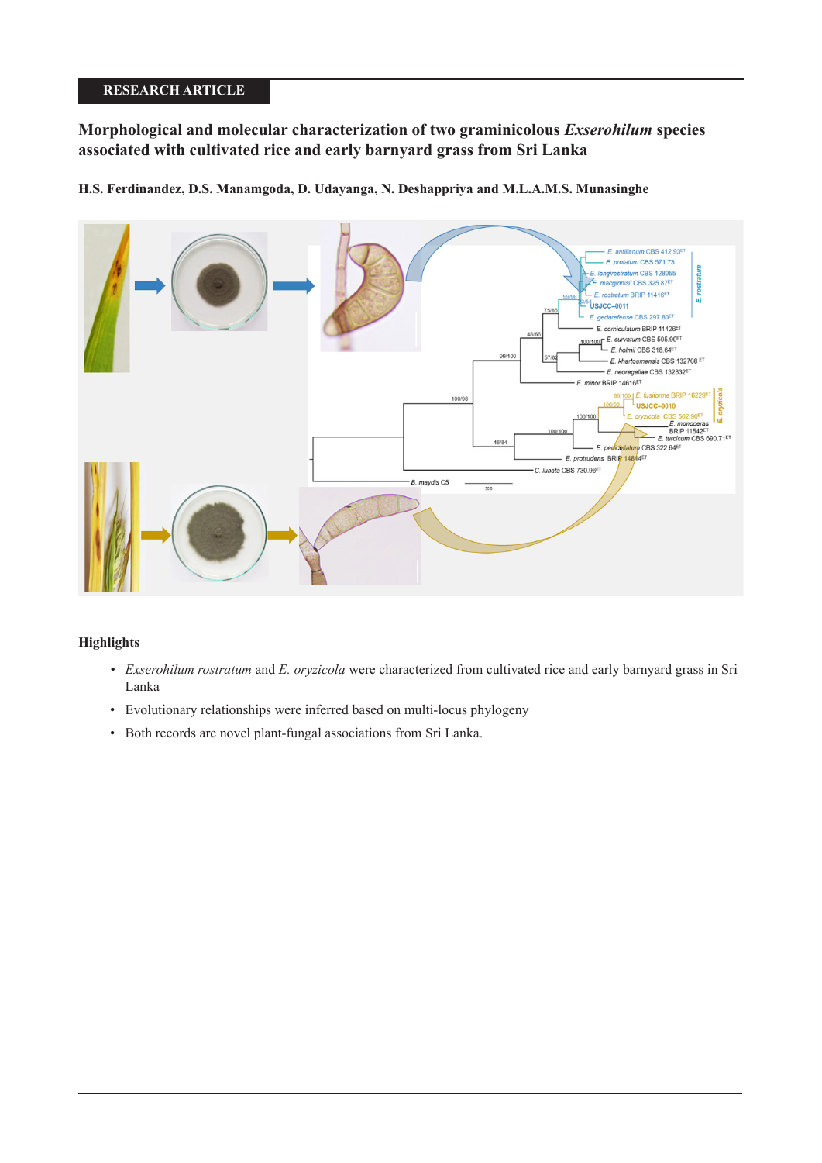# **RESEARCH ARTICLE**

# **Morphological and molecular characterization of two graminicolous** *Exserohilum* **species associated with cultivated rice and early barnyard grass from Sri Lanka**

**H.S. Ferdinandez, D.S. Manamgoda, D. Udayanga, N. Deshappriya and M.L.A.M.S. Munasinghe**



# **Highlights**

- *Exserohilum rostratum* and *E. oryzicola* were characterized from cultivated rice and early barnyard grass in Sri Lanka
- Evolutionary relationships were inferred based on multi-locus phylogeny
- Both records are novel plant-fungal associations from Sri Lanka.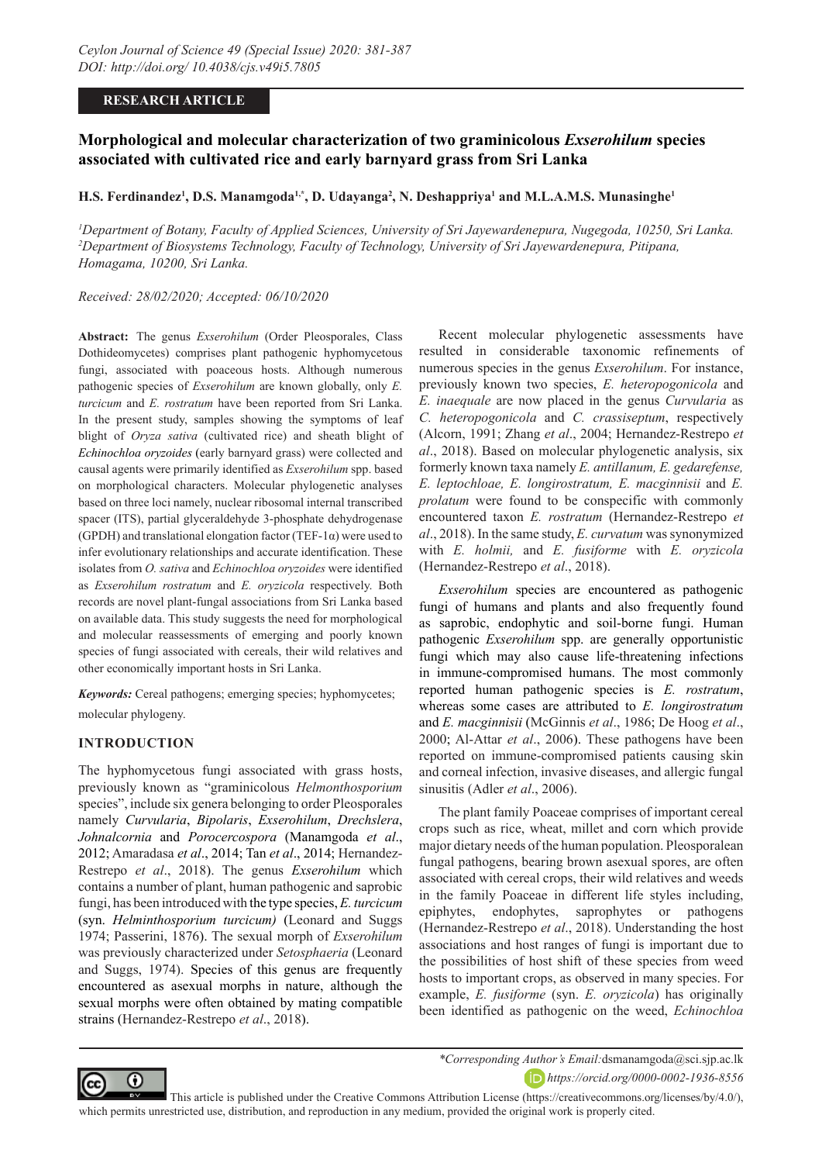## **RESEARCH ARTICLE**

# **Morphological and molecular characterization of two graminicolous** *Exserohilum* **species associated with cultivated rice and early barnyard grass from Sri Lanka**

#### $\mathbf{H.S.}$  Ferdinandez<sup>1</sup>, D.S. Manamgoda<sup>1,\*</sup>, D. Udayanga<sup>2</sup>, N. Deshappriya<sup>1</sup> and M.L.A.M.S. Munasinghe<sup>1</sup>

*1 Department of Botany, Faculty of Applied Sciences, University of Sri Jayewardenepura, Nugegoda, 10250, Sri Lanka. 2 Department of Biosystems Technology, Faculty of Technology, University of Sri Jayewardenepura, Pitipana, Homagama, 10200, Sri Lanka.*

*Received: 28/02/2020; Accepted: 06/10/2020*

**Abstract:** The genus *Exserohilum* (Order Pleosporales, Class Dothideomycetes) comprises plant pathogenic hyphomycetous fungi, associated with poaceous hosts. Although numerous pathogenic species of *Exserohilum* are known globally, only *E. turcicum* and *E. rostratum* have been reported from Sri Lanka. In the present study, samples showing the symptoms of leaf blight of *Oryza sativa* (cultivated rice) and sheath blight of *Echinochloa oryzoides* (early barnyard grass) were collected and causal agents were primarily identified as *Exserohilum* spp. based on morphological characters. Molecular phylogenetic analyses based on three loci namely, nuclear ribosomal internal transcribed spacer (ITS), partial glyceraldehyde 3-phosphate dehydrogenase (GPDH) and translational elongation factor (TEF-1 $\alpha$ ) were used to infer evolutionary relationships and accurate identification. These isolates from *O. sativa* and *Echinochloa oryzoides* were identified as *Exserohilum rostratum* and *E. oryzicola* respectively. Both records are novel plant-fungal associations from Sri Lanka based on available data. This study suggests the need for morphological and molecular reassessments of emerging and poorly known species of fungi associated with cereals, their wild relatives and other economically important hosts in Sri Lanka.

*Keywords:* Cereal pathogens; emerging species; hyphomycetes; molecular phylogeny.

## **INTRODUCTION**

The hyphomycetous fungi associated with grass hosts, previously known as "graminicolous *Helmonthosporium* species", include six genera belonging to order Pleosporales namely *Curvularia*, *Bipolaris*, *Exserohilum*, *Drechslera*, *Johnalcornia* and *Porocercospora* (Manamgoda *et al*., 2012; Amaradasa *et al*., 2014; Tan *et al*., 2014; Hernandez-Restrepo *et al*., 2018). The genus *Exserohilum* which contains a number of plant, human pathogenic and saprobic fungi, has been introduced with the type species, *E. turcicum* (syn. *Helminthosporium turcicum)* (Leonard and Suggs 1974; Passerini, 1876). The sexual morph of *Exserohilum* was previously characterized under *Setosphaeria* (Leonard and Suggs, 1974). Species of this genus are frequently encountered as asexual morphs in nature, although the sexual morphs were often obtained by mating compatible strains (Hernandez-Restrepo *et al*., 2018).

Recent molecular phylogenetic assessments have resulted in considerable taxonomic refinements of numerous species in the genus *Exserohilum*. For instance, previously known two species, *E. heteropogonicola* and *E. inaequale* are now placed in the genus *Curvularia* as *C. heteropogonicola* and *C. crassiseptum*, respectively (Alcorn, 1991; Zhang *et al*., 2004; Hernandez-Restrepo *et al*., 2018). Based on molecular phylogenetic analysis, six formerly known taxa namely *E. antillanum, E. gedarefense, E. leptochloae, E. longirostratum, E. macginnisii* and *E. prolatum* were found to be conspecific with commonly encountered taxon *E. rostratum* (Hernandez-Restrepo *et al*., 2018). In the same study, *E. curvatum* was synonymized with *E. holmii,* and *E. fusiforme* with *E. oryzicola*  (Hernandez-Restrepo *et al*., 2018).

*Exserohilum* species are encountered as pathogenic fungi of humans and plants and also frequently found as saprobic, endophytic and soil-borne fungi. Human pathogenic *Exserohilum* spp. are generally opportunistic fungi which may also cause life-threatening infections in immune-compromised humans. The most commonly reported human pathogenic species is *E. rostratum*, whereas some cases are attributed to *E. longirostratum* and *E. macginnisii* (McGinnis *et al*., 1986; De Hoog *et al*., 2000; Al-Attar *et al*., 2006). These pathogens have been reported on immune-compromised patients causing skin and corneal infection, invasive diseases, and allergic fungal sinusitis (Adler *et al*., 2006).

The plant family Poaceae comprises of important cereal crops such as rice, wheat, millet and corn which provide major dietary needs of the human population. Pleosporalean fungal pathogens, bearing brown asexual spores, are often associated with cereal crops, their wild relatives and weeds in the family Poaceae in different life styles including, epiphytes, endophytes, saprophytes or pathogens (Hernandez-Restrepo *et al*., 2018). Understanding the host associations and host ranges of fungi is important due to the possibilities of host shift of these species from weed hosts to important crops, as observed in many species. For example, *E. fusiforme* (syn. *E. oryzicola*) has originally been identified as pathogenic on the weed, *Echinochloa* 



*\*Corresponding Author's Email:*dsmanamgoda@sci.sjp.ac.lk *https://orcid.org/0000-0002-1936-8556*

 This article is published under the Creative Commons Attribution License (https://creativecommons.org/licenses/by/4.0/), which permits unrestricted use, distribution, and reproduction in any medium, provided the original work is properly cited.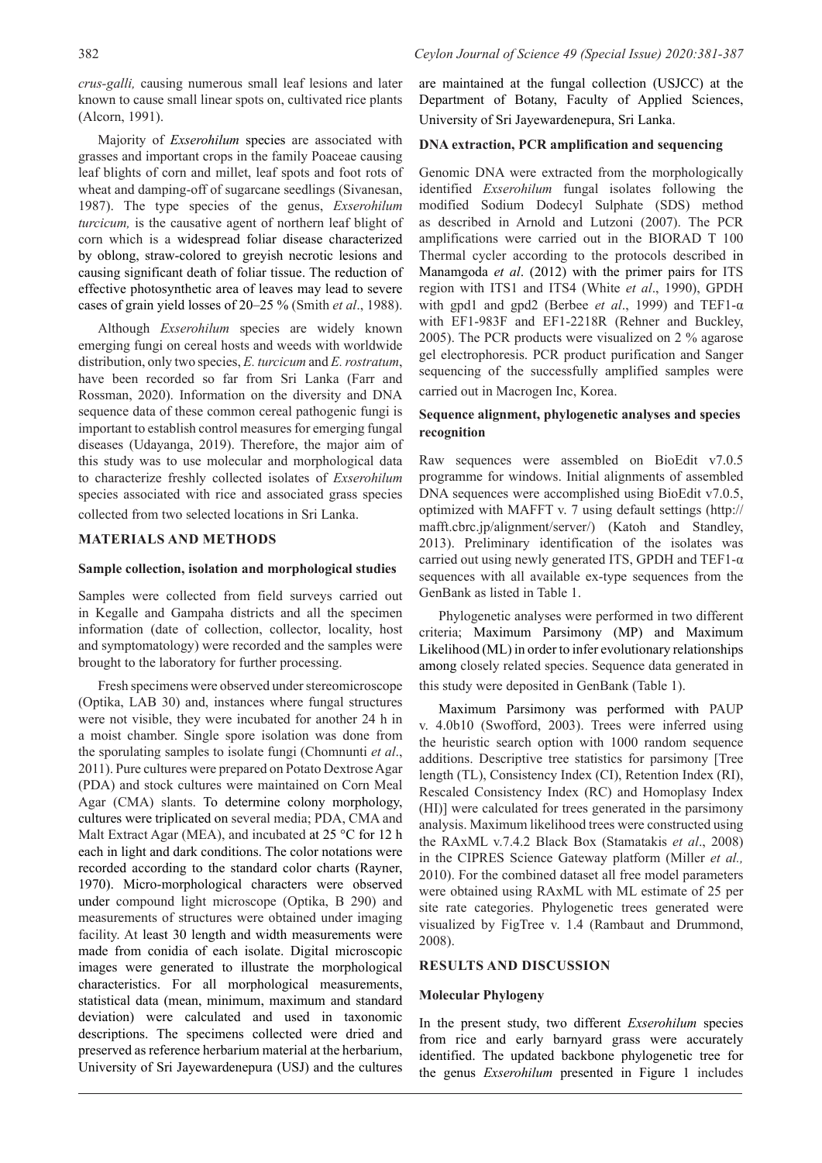*crus-galli,* causing numerous small leaf lesions and later known to cause small linear spots on, cultivated rice plants (Alcorn, 1991).

Majority of *Exserohilum* species are associated with grasses and important crops in the family Poaceae causing leaf blights of corn and millet, leaf spots and foot rots of wheat and damping-off of sugarcane seedlings (Sivanesan, 1987). The type species of the genus, *Exserohilum turcicum,* is the causative agent of northern leaf blight of corn which is a widespread foliar disease characterized by oblong, straw-colored to greyish necrotic lesions and causing significant death of foliar tissue. The reduction of effective photosynthetic area of leaves may lead to severe cases of grain yield losses of 20–25 % (Smith *et al*., 1988).

Although *Exserohilum* species are widely known emerging fungi on cereal hosts and weeds with worldwide distribution, only two species, *E. turcicum* and *E. rostratum*, have been recorded so far from Sri Lanka (Farr and Rossman, 2020). Information on the diversity and DNA sequence data of these common cereal pathogenic fungi is important to establish control measures for emerging fungal diseases (Udayanga, 2019). Therefore, the major aim of this study was to use molecular and morphological data to characterize freshly collected isolates of *Exserohilum* species associated with rice and associated grass species collected from two selected locations in Sri Lanka.

## **MATERIALS AND METHODS**

#### **Sample collection, isolation and morphological studies**

Samples were collected from field surveys carried out in Kegalle and Gampaha districts and all the specimen information (date of collection, collector, locality, host and symptomatology) were recorded and the samples were brought to the laboratory for further processing.

Fresh specimens were observed under stereomicroscope (Optika, LAB 30) and, instances where fungal structures were not visible, they were incubated for another 24 h in a moist chamber. Single spore isolation was done from the sporulating samples to isolate fungi (Chomnunti *et al*., 2011). Pure cultures were prepared on Potato Dextrose Agar (PDA) and stock cultures were maintained on Corn Meal Agar (CMA) slants. To determine colony morphology, cultures were triplicated on several media; PDA, CMA and Malt Extract Agar (MEA), and incubated at 25 °C for 12 h each in light and dark conditions. The color notations were recorded according to the standard color charts (Rayner, 1970). Micro-morphological characters were observed under compound light microscope (Optika, B 290) and measurements of structures were obtained under imaging facility. At least 30 length and width measurements were made from conidia of each isolate. Digital microscopic images were generated to illustrate the morphological characteristics. For all morphological measurements, statistical data (mean, minimum, maximum and standard deviation) were calculated and used in taxonomic descriptions. The specimens collected were dried and preserved as reference herbarium material at the herbarium, University of Sri Jayewardenepura (USJ) and the cultures are maintained at the fungal collection (USJCC) at the Department of Botany, Faculty of Applied Sciences, University of Sri Jayewardenepura, Sri Lanka.

#### **DNA extraction, PCR amplification and sequencing**

Genomic DNA were extracted from the morphologically identified *Exserohilum* fungal isolates following the modified Sodium Dodecyl Sulphate (SDS) method as described in Arnold and Lutzoni (2007). The PCR amplifications were carried out in the BIORAD T 100 Thermal cycler according to the protocols described in Manamgoda *et al*. (2012) with the primer pairs for ITS region with ITS1 and ITS4 (White *et al*., 1990), GPDH with gpd1 and gpd2 (Berbee *et al*., 1999) and TEF1-α with EF1-983F and EF1-2218R (Rehner and Buckley, 2005). The PCR products were visualized on 2 % agarose gel electrophoresis. PCR product purification and Sanger sequencing of the successfully amplified samples were carried out in Macrogen Inc, Korea.

## **Sequence alignment, phylogenetic analyses and species recognition**

Raw sequences were assembled on BioEdit v7.0.5 programme for windows. Initial alignments of assembled DNA sequences were accomplished using BioEdit v7.0.5, optimized with MAFFT v. 7 using default settings (http:// mafft.cbrc.jp/alignment/server/) (Katoh and Standley, 2013). Preliminary identification of the isolates was carried out using newly generated ITS, GPDH and TEF1-α sequences with all available ex-type sequences from the GenBank as listed in Table 1.

Phylogenetic analyses were performed in two different criteria; Maximum Parsimony (MP) and Maximum Likelihood (ML) in order to infer evolutionary relationships among closely related species. Sequence data generated in this study were deposited in GenBank (Table 1).

Maximum Parsimony was performed with PAUP v. 4.0b10 (Swofford, 2003). Trees were inferred using the heuristic search option with 1000 random sequence additions. Descriptive tree statistics for parsimony [Tree length (TL), Consistency Index (CI), Retention Index (RI), Rescaled Consistency Index (RC) and Homoplasy Index (HI)] were calculated for trees generated in the parsimony analysis. Maximum likelihood trees were constructed using the RAxML v.7.4.2 Black Box (Stamatakis *et al*., 2008) in the CIPRES Science Gateway platform (Miller *et al.,* 2010). For the combined dataset all free model parameters were obtained using RAxML with ML estimate of 25 per site rate categories. Phylogenetic trees generated were visualized by FigTree v. 1.4 (Rambaut and Drummond, 2008).

#### **RESULTS AND DISCUSSION**

#### **Molecular Phylogeny**

In the present study, two different *Exserohilum* species from rice and early barnyard grass were accurately identified. The updated backbone phylogenetic tree for the genus *Exserohilum* presented in Figure 1 includes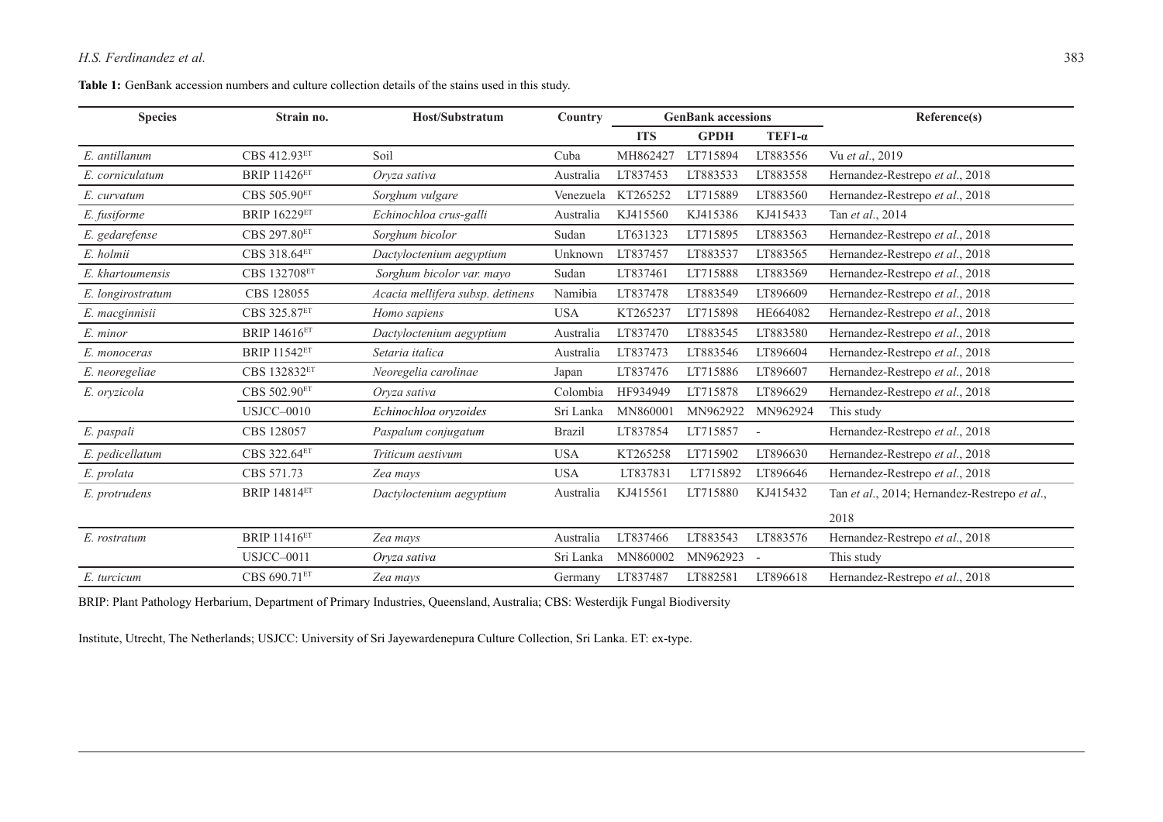# *H.S. Ferdinandez et al.* 383

#### **Table 1:** GenBank accession numbers and culture collection details of the stains used in this study.

| <b>Species</b>    | Strain no.          | Host/Substratum                  | Country       | <b>GenBank accessions</b> |             |                          | Reference(s)                                 |
|-------------------|---------------------|----------------------------------|---------------|---------------------------|-------------|--------------------------|----------------------------------------------|
|                   |                     |                                  |               | <b>ITS</b>                | <b>GPDH</b> | $TEF1-\alpha$            |                                              |
| E. antillanum     | CBS 412.93ET        | Soil                             | Cuba          | MH862427                  | LT715894    | LT883556                 | Vu et al., 2019                              |
| E. corniculatum   | <b>BRIP 11426ET</b> | Oryza sativa                     | Australia     | LT837453                  | LT883533    | LT883558                 | Hernandez-Restrepo et al., 2018              |
| E. curvatum       | CBS 505.90ET        | Sorghum vulgare                  | Venezuela     | KT265252                  | LT715889    | LT883560                 | Hernandez-Restrepo et al., 2018              |
| E. fusiforme      | <b>BRIP 16229ET</b> | Echinochloa crus-galli           | Australia     | KJ415560                  | KJ415386    | KJ415433                 | Tan et al., 2014                             |
| E. gedarefense    | CBS 297.80ET        | Sorghum bicolor                  | Sudan         | LT631323                  | LT715895    | LT883563                 | Hernandez-Restrepo et al., 2018              |
| E. holmii         | CBS 318.64ET        | Dactyloctenium aegyptium         | Unknown       | LT837457                  | LT883537    | LT883565                 | Hernandez-Restrepo et al., 2018              |
| E. khartoumensis  | CBS 132708ET        | Sorghum bicolor var. mayo        | Sudan         | LT837461                  | LT715888    | LT883569                 | Hernandez-Restrepo et al., 2018              |
| E. longirostratum | CBS 128055          | Acacia mellifera subsp. detinens | Namibia       | LT837478                  | LT883549    | LT896609                 | Hernandez-Restrepo et al., 2018              |
| E. macginnisii    | CBS 325.87ET        | Homo sapiens                     | <b>USA</b>    | KT265237                  | LT715898    | HE664082                 | Hernandez-Restrepo et al., 2018              |
| E. minor          | <b>BRIP 14616ET</b> | Dactyloctenium aegyptium         | Australia     | LT837470                  | LT883545    | LT883580                 | Hernandez-Restrepo et al., 2018              |
| E. monoceras      | <b>BRIP 11542ET</b> | Setaria italica                  | Australia     | LT837473                  | LT883546    | LT896604                 | Hernandez-Restrepo et al., 2018              |
| E. neoregeliae    | CBS 132832ET        | Neoregelia carolinae             | Japan         | LT837476                  | LT715886    | LT896607                 | Hernandez-Restrepo et al., 2018              |
| E. oryzicola      | CBS 502.90ET        | Oryza sativa                     | Colombia      | HF934949                  | LT715878    | LT896629                 | Hernandez-Restrepo et al., 2018              |
|                   | USJCC-0010          | Echinochloa oryzoides            | Sri Lanka     | MN860001                  | MN962922    | MN962924                 | This study                                   |
| E. paspali        | CBS 128057          | Paspalum conjugatum              | <b>Brazil</b> | LT837854                  | LT715857    | $\overline{\phantom{a}}$ | Hernandez-Restrepo et al., 2018              |
| E. pedicellatum   | CBS 322.64ET        | Triticum aestivum                | <b>USA</b>    | KT265258                  | LT715902    | LT896630                 | Hernandez-Restrepo et al., 2018              |
| E. prolata        | CBS 571.73          | Zea mays                         | <b>USA</b>    | LT837831                  | LT715892    | LT896646                 | Hernandez-Restrepo et al., 2018              |
| E. protrudens     | <b>BRIP 14814ET</b> | Dactyloctenium aegyptium         | Australia     | KJ415561                  | LT715880    | KJ415432                 | Tan et al., 2014; Hernandez-Restrepo et al., |
|                   |                     |                                  |               |                           |             |                          | 2018                                         |
| E. rostratum      | <b>BRIP 11416ET</b> | Zea mays                         | Australia     | LT837466                  | LT883543    | LT883576                 | Hernandez-Restrepo et al., 2018              |
|                   | <b>USJCC-0011</b>   | Oryza sativa                     | Sri Lanka     | MN860002                  | MN962923    | $\overline{\phantom{a}}$ | This study                                   |
| E. turcicum       | CBS 690.71ET        | Zea mays                         | Germany       | LT837487                  | LT882581    | LT896618                 | Hernandez-Restrepo et al., 2018              |

BRIP: Plant Pathology Herbarium, Department of Primary Industries, Queensland, Australia; CBS: Westerdijk Fungal Biodiversity

Institute, Utrecht, The Netherlands; USJCC: University of Sri Jayewardenepura Culture Collection, Sri Lanka. ET: ex-type.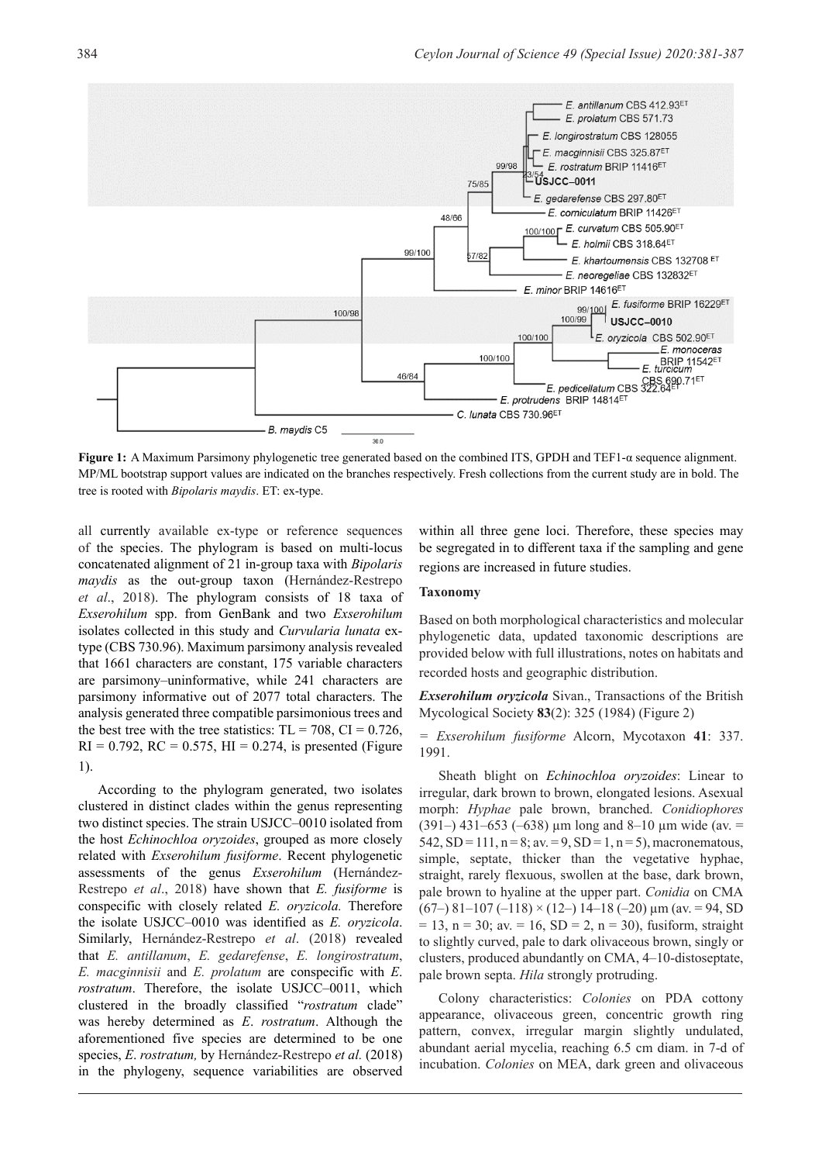

**Figure 1:** A Maximum Parsimony phylogenetic tree generated based on the combined ITS, GPDH and TEF1-α sequence alignment. MP/ML bootstrap support values are indicated on the branches respectively. Fresh collections from the current study are in bold. The tree is rooted with *Bipolaris maydis*. ET: ex-type.

all currently available ex-type or reference sequences of the species. The phylogram is based on multi-locus concatenated alignment of 21 in-group taxa with *Bipolaris maydis* as the out-group taxon (Hernández-Restrepo *et al*., 2018). The phylogram consists of 18 taxa of *Exserohilum* spp. from GenBank and two *Exserohilum*  isolates collected in this study and *Curvularia lunata* extype (CBS 730.96). Maximum parsimony analysis revealed that 1661 characters are constant, 175 variable characters are parsimony–uninformative, while 241 characters are parsimony informative out of 2077 total characters. The analysis generated three compatible parsimonious trees and the best tree with the tree statistics:  $TL = 708$ ,  $CI = 0.726$ ,  $RI = 0.792$ ,  $RC = 0.575$ ,  $HI = 0.274$ , is presented (Figure 1).

According to the phylogram generated, two isolates clustered in distinct clades within the genus representing two distinct species. The strain USJCC–0010 isolated from the host *Echinochloa oryzoides*, grouped as more closely related with *Exserohilum fusiforme*. Recent phylogenetic assessments of the genus *Exserohilum* (Hernández-Restrepo *et al*., 2018) have shown that *E. fusiforme* is conspecific with closely related *E. oryzicola.* Therefore the isolate USJCC–0010 was identified as *E. oryzicola*. Similarly, Hernández-Restrepo *et al*. (2018) revealed that *E. antillanum*, *E. gedarefense*, *E. longirostratum*, *E. macginnisii* and *E. prolatum* are conspecific with *E*. *rostratum*. Therefore, the isolate USJCC–0011, which clustered in the broadly classified "*rostratum* clade" was hereby determined as *E*. *rostratum*. Although the aforementioned five species are determined to be one species, *E*. *rostratum,* by Hernández-Restrepo *et al.* (2018) in the phylogeny, sequence variabilities are observed

within all three gene loci. Therefore, these species may be segregated in to different taxa if the sampling and gene regions are increased in future studies.

#### **Taxonomy**

Based on both morphological characteristics and molecular phylogenetic data, updated taxonomic descriptions are provided below with full illustrations, notes on habitats and recorded hosts and geographic distribution.

*Exserohilum oryzicola* Sivan., Transactions of the British Mycological Society **83**(2): 325 (1984) (Figure 2)

*= Exserohilum fusiforme* Alcorn, Mycotaxon **41**: 337. 1991.

Sheath blight on *Echinochloa oryzoides*: Linear to irregular, dark brown to brown, elongated lesions. Asexual morph: *Hyphae* pale brown, branched. *Conidiophores* (391–) 431–653 (–638) µm long and 8–10 µm wide (av. =  $542$ ,  $SD = 111$ ,  $n = 8$ ; av. = 9,  $SD = 1$ ,  $n = 5$ ), macronematous, simple, septate, thicker than the vegetative hyphae, straight, rarely flexuous, swollen at the base, dark brown, pale brown to hyaline at the upper part. *Conidia* on CMA  $(67–) 81–107 (-118) \times (12–) 14–18 (-20) \,\mu \text{m}$  (av. = 94, SD)  $= 13$ , n = 30; av. = 16, SD = 2, n = 30), fusiform, straight to slightly curved, pale to dark olivaceous brown, singly or clusters, produced abundantly on CMA, 4–10-distoseptate, pale brown septa. *Hila* strongly protruding.

Colony characteristics: *Colonies* on PDA cottony appearance, olivaceous green, concentric growth ring pattern, convex, irregular margin slightly undulated, abundant aerial mycelia, reaching 6.5 cm diam. in 7-d of incubation. *Colonies* on MEA, dark green and olivaceous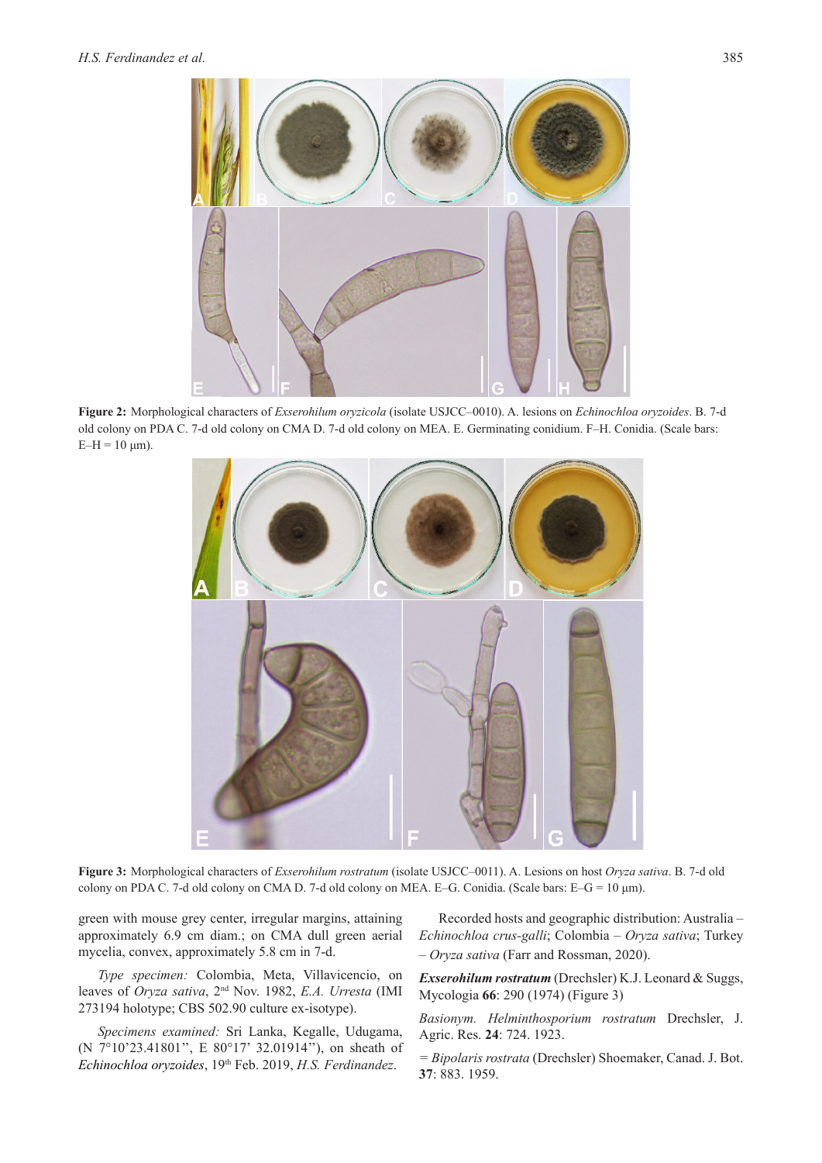

**Figure 2:** Morphological characters of *Exserohilum oryzicola* (isolate USJCC–0010). A. lesions on *Echinochloa oryzoides*. B. 7-d old colony on PDA C. 7-d old colony on CMA D. 7-d old colony on MEA. E. Germinating conidium. F–H. Conidia. (Scale bars:  $E-H = 10 \mu m$ ).



**Figure 3:** Morphological characters of *Exserohilum rostratum* (isolate USJCC–0011). A. Lesions on host *Oryza sativa*. B. 7-d old colony on PDA C. 7-d old colony on CMA D. 7-d old colony on MEA. E–G. Conidia. (Scale bars: E–G = 10 μm).

green with mouse grey center, irregular margins, attaining approximately 6.9 cm diam.; on CMA dull green aerial mycelia, convex, approximately 5.8 cm in 7-d.

*Type specimen:* Colombia, Meta, Villavicencio, on leaves of *Oryza sativa*, 2nd Nov. 1982, *E.A. Urresta* (IMI 273194 holotype; CBS 502.90 culture ex-isotype).

*Specimens examined:* Sri Lanka, Kegalle, Udugama, (N 7°10'23.41801'', E 80°17' 32.01914''), on sheath of *Echinochloa oryzoides*, 19th Feb. 2019, *H.S. Ferdinandez*.

Recorded hosts and geographic distribution: Australia – *Echinochloa crus-galli*; Colombia – *Oryza sativa*; Turkey – *Oryza sativa* (Farr and Rossman, 2020).

*Exserohilum rostratum* (Drechsler) K.J. Leonard & Suggs, Mycologia **66**: 290 (1974) (Figure 3)

*Basionym. Helminthosporium rostratum* Drechsler, J. Agric. Res. **24**: 724. 1923.

*= Bipolaris rostrata* (Drechsler) Shoemaker, Canad. J. Bot. **37**: 883. 1959.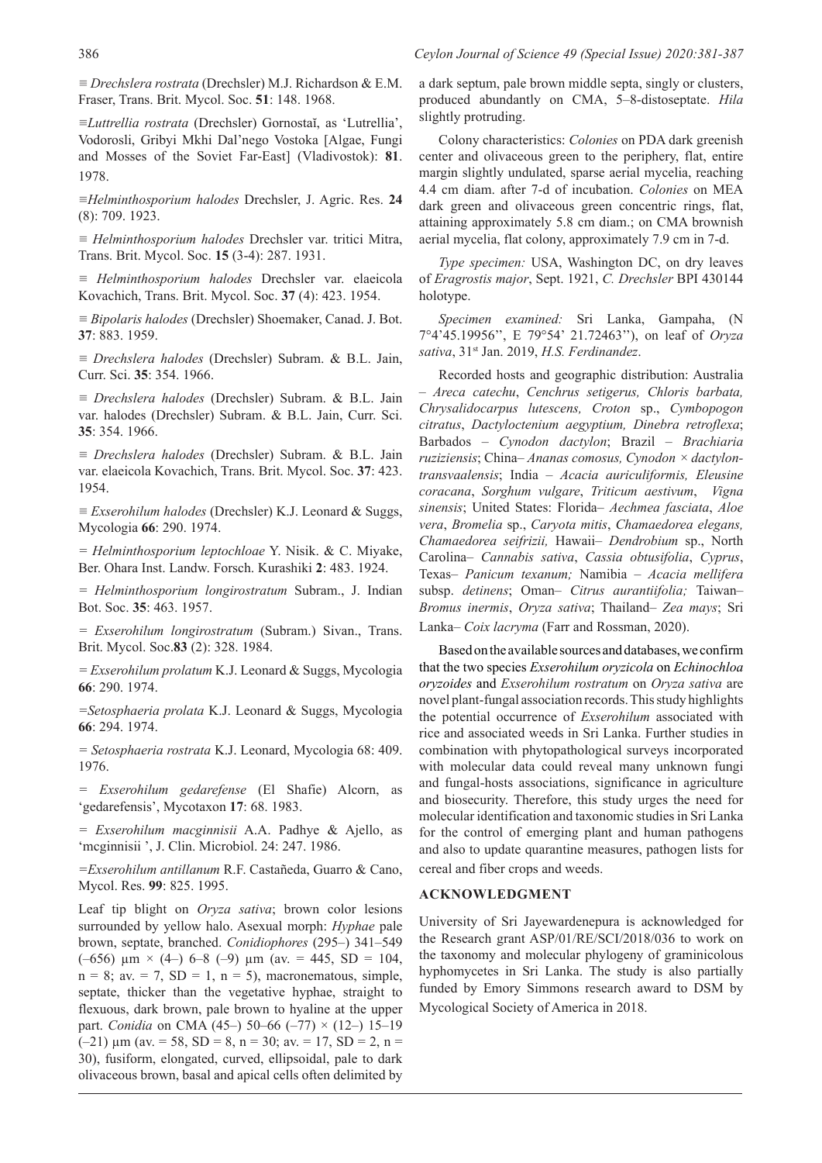*≡ Drechslera rostrata* (Drechsler) M.J. Richardson & E.M. Fraser, Trans. Brit. Mycol. Soc. **51**: 148. 1968.

*≡Luttrellia rostrata* (Drechsler) Gornostaĭ, as 'Lutrellia', Vodorosli, Gribyi Mkhi Dal'nego Vostoka [Algae, Fungi and Mosses of the Soviet Far-East] (Vladivostok): **81**. 1978.

*≡Helminthosporium halodes* Drechsler, J. Agric. Res. **24**  (8): 709. 1923.

*≡ Helminthosporium halodes* Drechsler var. tritici Mitra, Trans. Brit. Mycol. Soc. **15** (3-4): 287. 1931.

*≡ Helminthosporium halodes* Drechsler var. elaeicola Kovachich, Trans. Brit. Mycol. Soc. **37** (4): 423. 1954.

*≡ Bipolaris halodes* (Drechsler) Shoemaker, Canad. J. Bot. **37**: 883. 1959.

*≡ Drechslera halodes* (Drechsler) Subram. & B.L. Jain, Curr. Sci. **35**: 354. 1966.

*≡ Drechslera halodes* (Drechsler) Subram. & B.L. Jain var. halodes (Drechsler) Subram. & B.L. Jain, Curr. Sci. **35**: 354. 1966.

*≡ Drechslera halodes* (Drechsler) Subram. & B.L. Jain var. elaeicola Kovachich, Trans. Brit. Mycol. Soc. **37**: 423. 1954.

*≡ Exserohilum halodes* (Drechsler) K.J. Leonard & Suggs, Mycologia **66**: 290. 1974.

*= Helminthosporium leptochloae* Y. Nisik. & C. Miyake, Ber. Ohara Inst. Landw. Forsch. Kurashiki **2**: 483. 1924.

*= Helminthosporium longirostratum* Subram., J. Indian Bot. Soc. **35**: 463. 1957.

*= Exserohilum longirostratum* (Subram.) Sivan., Trans. Brit. Mycol. Soc.**83** (2): 328. 1984.

*= Exserohilum prolatum* K.J. Leonard & Suggs, Mycologia **66**: 290. 1974.

*=Setosphaeria prolata* K.J. Leonard & Suggs, Mycologia **66**: 294. 1974.

*= Setosphaeria rostrata* K.J. Leonard, Mycologia 68: 409. 1976.

*= Exserohilum gedarefense* (El Shafie) Alcorn, as 'gedarefensis', Mycotaxon **17**: 68. 1983.

*= Exserohilum macginnisii* A.A. Padhye & Ajello, as 'mcginnisii ', J. Clin. Microbiol. 24: 247. 1986.

*=Exserohilum antillanum* R.F. Castañeda, Guarro & Cano, Mycol. Res. **99**: 825. 1995.

Leaf tip blight on *Oryza sativa*; brown color lesions surrounded by yellow halo. Asexual morph: *Hyphae* pale brown, septate, branched. *Conidiophores* (295–) 341–549 (-656)  $\mu$ m × (4-) 6-8 (-9)  $\mu$ m (av. = 445, SD = 104,  $n = 8$ ; av. = 7, SD = 1,  $n = 5$ ), macronematous, simple, septate, thicker than the vegetative hyphae, straight to flexuous, dark brown, pale brown to hyaline at the upper part. *Conidia* on CMA (45–) 50–66 (–77) × (12–) 15–19  $(-21)$  µm (av. = 58, SD = 8, n = 30; av. = 17, SD = 2, n = 30), fusiform, elongated, curved, ellipsoidal, pale to dark olivaceous brown, basal and apical cells often delimited by

a dark septum, pale brown middle septa, singly or clusters, produced abundantly on CMA, 5–8-distoseptate. *Hila* slightly protruding.

Colony characteristics: *Colonies* on PDA dark greenish center and olivaceous green to the periphery, flat, entire margin slightly undulated, sparse aerial mycelia, reaching 4.4 cm diam. after 7-d of incubation. *Colonies* on MEA dark green and olivaceous green concentric rings, flat, attaining approximately 5.8 cm diam.; on CMA brownish aerial mycelia, flat colony, approximately 7.9 cm in 7-d.

*Type specimen:* USA, Washington DC, on dry leaves of *Eragrostis major*, Sept. 1921, *C. Drechsler* BPI 430144 holotype.

*Specimen examined:* Sri Lanka, Gampaha, (N 7°4'45.19956'', E 79°54' 21.72463''), on leaf of *Oryza sativa*, 31st Jan. 2019, *H.S. Ferdinandez*.

Recorded hosts and geographic distribution: Australia *– Areca catechu*, *Cenchrus setigerus, Chloris barbata, Chrysalidocarpus lutescens, Croton* sp., *Cymbopogon citratus*, *Dactyloctenium aegyptium, Dinebra retroflexa*; Barbados – *Cynodon dactylon*; Brazil – *Brachiaria ruziziensis*; China– *Ananas comosus, Cynodon × dactylontransvaalensis*; India – *Acacia auriculiformis, Eleusine coracana*, *Sorghum vulgare*, *Triticum aestivum*, *Vigna sinensis*; United States: Florida– *Aechmea fasciata*, *Aloe vera*, *Bromelia* sp., *Caryota mitis*, *Chamaedorea elegans, Chamaedorea seifrizii,* Hawaii– *Dendrobium* sp., North Carolina– *Cannabis sativa*, *Cassia obtusifolia*, *Cyprus*, Texas– *Panicum texanum;* Namibia – *Acacia mellifera* subsp. *detinens*; Oman– *Citrus aurantiifolia;* Taiwan– *Bromus inermis*, *Oryza sativa*; Thailand– *Zea mays*; Sri Lanka– *Coix lacryma* (Farr and Rossman, 2020).

Based on the available sources and databases, we confirm that the two species *Exserohilum oryzicola* on *Echinochloa oryzoides* and *Exserohilum rostratum* on *Oryza sativa* are novel plant-fungal association records. This study highlights the potential occurrence of *Exserohilum* associated with rice and associated weeds in Sri Lanka. Further studies in combination with phytopathological surveys incorporated with molecular data could reveal many unknown fungi and fungal-hosts associations, significance in agriculture and biosecurity. Therefore, this study urges the need for molecular identification and taxonomic studies in Sri Lanka for the control of emerging plant and human pathogens and also to update quarantine measures, pathogen lists for cereal and fiber crops and weeds.

#### **ACKNOWLEDGMENT**

University of Sri Jayewardenepura is acknowledged for the Research grant ASP/01/RE/SCI/2018/036 to work on the taxonomy and molecular phylogeny of graminicolous hyphomycetes in Sri Lanka. The study is also partially funded by Emory Simmons research award to DSM by Mycological Society of America in 2018.